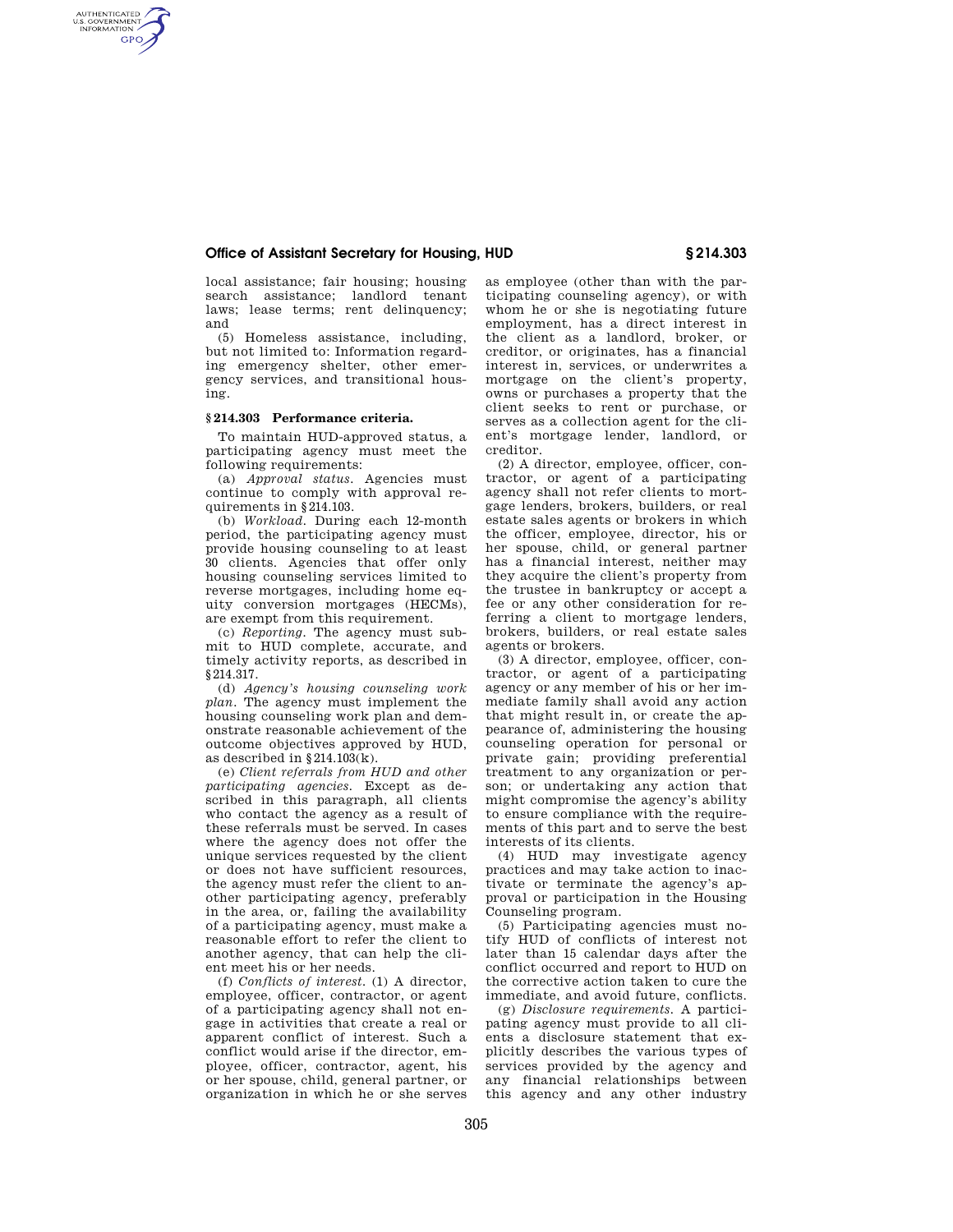# **Office of Assistant Secretary for Housing, HUD § 214.303**

local assistance; fair housing; housing search assistance; landlord tenant laws; lease terms; rent delinquency; and

(5) Homeless assistance, including, but not limited to: Information regarding emergency shelter, other emergency services, and transitional housing.

#### **§ 214.303 Performance criteria.**

AUTHENTICATED<br>U.S. GOVERNMENT<br>INFORMATION **GPO** 

> To maintain HUD-approved status, a participating agency must meet the following requirements:

> (a) *Approval status.* Agencies must continue to comply with approval requirements in §214.103.

> (b) *Workload.* During each 12-month period, the participating agency must provide housing counseling to at least 30 clients. Agencies that offer only housing counseling services limited to reverse mortgages, including home equity conversion mortgages (HECMs), are exempt from this requirement.

> (c) *Reporting.* The agency must submit to HUD complete, accurate, and timely activity reports, as described in §214.317.

> (d) *Agency's housing counseling work plan.* The agency must implement the housing counseling work plan and demonstrate reasonable achievement of the outcome objectives approved by HUD, as described in  $§214.103(k)$ .

> (e) *Client referrals from HUD and other participating agencies.* Except as described in this paragraph, all clients who contact the agency as a result of these referrals must be served. In cases where the agency does not offer the unique services requested by the client or does not have sufficient resources, the agency must refer the client to another participating agency, preferably in the area, or, failing the availability of a participating agency, must make a reasonable effort to refer the client to another agency, that can help the client meet his or her needs.

> (f) *Conflicts of interest.* (1) A director, employee, officer, contractor, or agent of a participating agency shall not engage in activities that create a real or apparent conflict of interest. Such a conflict would arise if the director, employee, officer, contractor, agent, his or her spouse, child, general partner, or organization in which he or she serves

as employee (other than with the participating counseling agency), or with whom he or she is negotiating future employment, has a direct interest in the client as a landlord, broker, or creditor, or originates, has a financial interest in, services, or underwrites a mortgage on the client's property, owns or purchases a property that the client seeks to rent or purchase, or serves as a collection agent for the client's mortgage lender, landlord, or creditor.

(2) A director, employee, officer, contractor, or agent of a participating agency shall not refer clients to mortgage lenders, brokers, builders, or real estate sales agents or brokers in which the officer, employee, director, his or her spouse, child, or general partner has a financial interest, neither may they acquire the client's property from the trustee in bankruptcy or accept a fee or any other consideration for referring a client to mortgage lenders, brokers, builders, or real estate sales agents or brokers.

(3) A director, employee, officer, contractor, or agent of a participating agency or any member of his or her immediate family shall avoid any action that might result in, or create the appearance of, administering the housing counseling operation for personal or private gain; providing preferential treatment to any organization or person; or undertaking any action that might compromise the agency's ability to ensure compliance with the requirements of this part and to serve the best interests of its clients.

(4) HUD may investigate agency practices and may take action to inactivate or terminate the agency's approval or participation in the Housing Counseling program.

(5) Participating agencies must notify HUD of conflicts of interest not later than 15 calendar days after the conflict occurred and report to HUD on the corrective action taken to cure the immediate, and avoid future, conflicts.

(g) *Disclosure requirements.* A participating agency must provide to all clients a disclosure statement that explicitly describes the various types of services provided by the agency and any financial relationships between this agency and any other industry